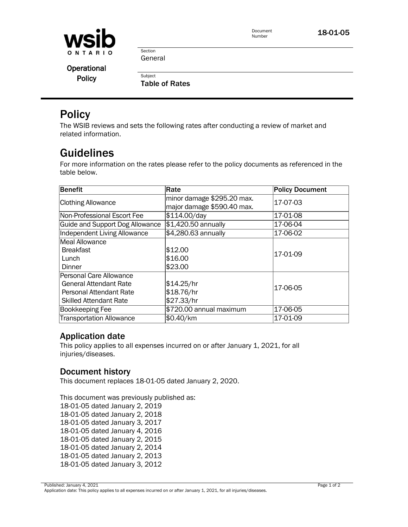

Document Number

18-01-05

Section General

**Subject** 

**Operational Policy** 

Table of Rates

## **Policy**

The WSIB reviews and sets the following rates after conducting a review of market and related information.

# Guidelines

For more information on the rates please refer to the policy documents as referenced in the table below.

| Benefit                         | Rate                                                     | <b>Policy Document</b> |  |
|---------------------------------|----------------------------------------------------------|------------------------|--|
| <b>Clothing Allowance</b>       | minor damage \$295.20 max.<br>major damage \$590.40 max. | 17-07-03               |  |
| Non-Professional Escort Fee     | \$114.00/day                                             | 17-01-08               |  |
| Guide and Support Dog Allowance | \$1,420.50 annually                                      | 17-06-04               |  |
| Independent Living Allowance    | \$4,280.63 annually                                      | 17-06-02               |  |
| Meal Allowance                  |                                                          |                        |  |
| <b>Breakfast</b>                | \$12.00                                                  | 17-01-09               |  |
| Lunch                           | \$16.00                                                  |                        |  |
| Dinner                          | \$23.00                                                  |                        |  |
| Personal Care Allowance         |                                                          |                        |  |
| <b>General Attendant Rate</b>   | \$14.25/hr                                               | 17-06-05               |  |
| <b>Personal Attendant Rate</b>  | \$18.76/hr                                               |                        |  |
| <b>Skilled Attendant Rate</b>   | \$27.33/hr                                               |                        |  |
| Bookkeeping Fee                 | \$720.00 annual maximum                                  | 17-06-05               |  |
| <b>Transportation Allowance</b> | \$0.40/km                                                | 17-01-09               |  |

### Application date

This policy applies to all expenses incurred on or after January 1, 2021, for all injuries/diseases.

### Document history

This document replaces 18-01-05 dated January 2, 2020. This document replaces 18-01-05 dated January 2, 2020.

This document was previously published as: This document was previously published as: 18-01-05 dated January 2, 2019 18-01-05 dated January 2, 2019 18-01-05 dated January 2, 2018 18-01-05 dated January 2, 2018 18-01-05 dated January 3, 2017 18-01-05 dated January 3, 2017 18-01-05 dated January 4, 2016 18-01-05 dated January 4, 2016 18-01-05 dated January 2, 2015 18-01-05 dated January 2, 2015 18-01-05 dated January 2, 2014 18-01-05 dated January 2, 2014 18-01-05 dated January 2, 2013 18-01-05 dated January 2, 2013 18-01-05 dated January 3, 2012 18-01-05 dated January 3, 2012

Published: January 4, 2021 Page 1 of 2 Application date: This policy applies to all expenses incurred on or after January 1, 2021, for all injuries/diseases.